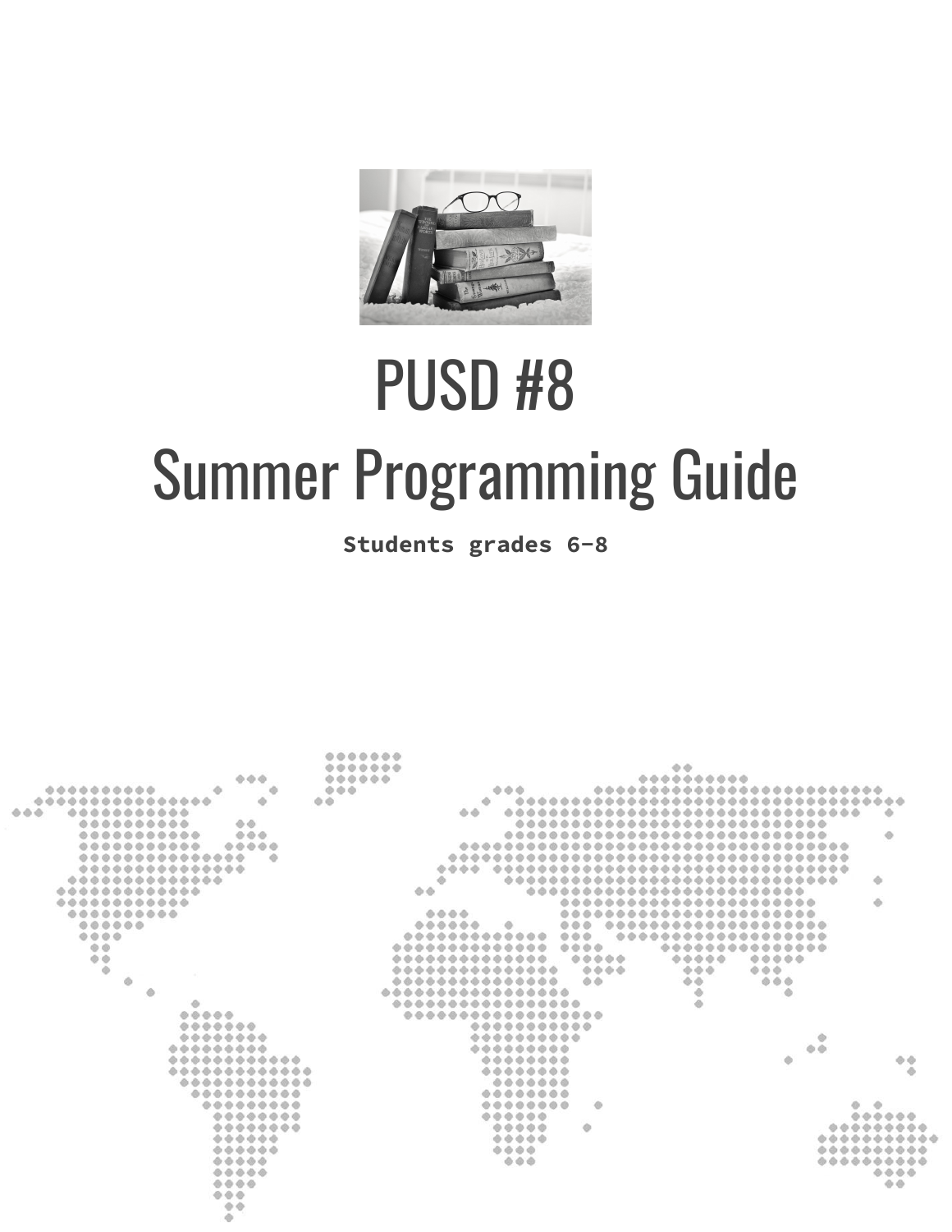

# PUSD #8 Summer Programming Guide

**Students grades 6-8**

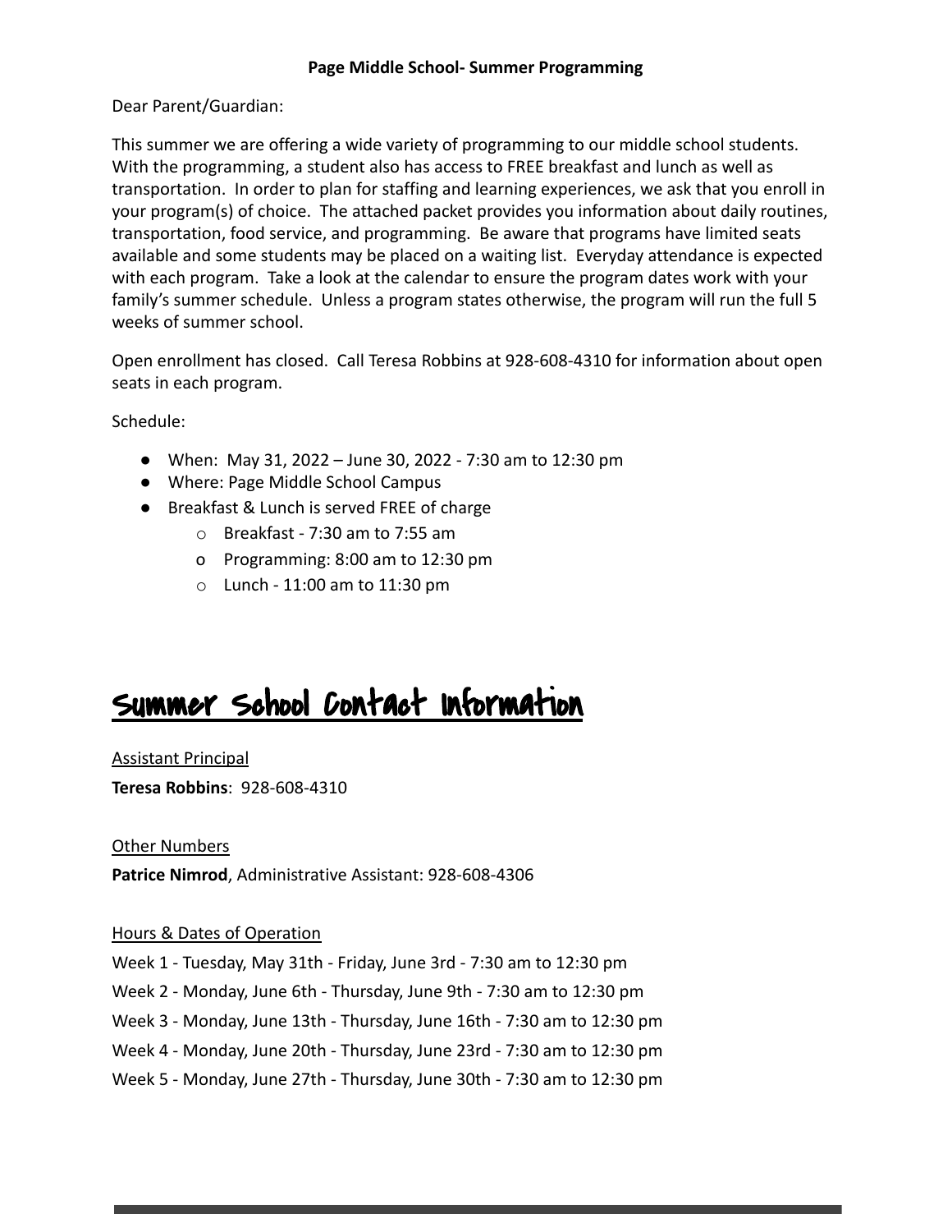#### **Page Middle School- Summer Programming**

Dear Parent/Guardian:

This summer we are offering a wide variety of programming to our middle school students. With the programming, a student also has access to FREE breakfast and lunch as well as transportation. In order to plan for staffing and learning experiences, we ask that you enroll in your program(s) of choice. The attached packet provides you information about daily routines, transportation, food service, and programming. Be aware that programs have limited seats available and some students may be placed on a waiting list. Everyday attendance is expected with each program. Take a look at the calendar to ensure the program dates work with your family's summer schedule. Unless a program states otherwise, the program will run the full 5 weeks of summer school.

Open enrollment has closed. Call Teresa Robbins at 928-608-4310 for information about open seats in each program.

Schedule:

- When: May 31, 2022 June 30, 2022 7:30 am to 12:30 pm
- Where: Page Middle School Campus
- Breakfast & Lunch is served FREE of charge
	- $\circ$  Breakfast 7:30 am to 7:55 am
	- o Programming: 8:00 am to 12:30 pm
	- o Lunch 11:00 am to 11:30 pm

# Summer School Contact Information

Assistant Principal

**Teresa Robbins**: 928-608-4310

Other Numbers

**Patrice Nimrod**, Administrative Assistant: 928-608-4306

#### Hours & Dates of Operation

- Week 1 Tuesday, May 31th Friday, June 3rd 7:30 am to 12:30 pm
- Week 2 Monday, June 6th Thursday, June 9th 7:30 am to 12:30 pm
- Week 3 Monday, June 13th Thursday, June 16th 7:30 am to 12:30 pm
- Week 4 Monday, June 20th Thursday, June 23rd 7:30 am to 12:30 pm
- Week 5 Monday, June 27th Thursday, June 30th 7:30 am to 12:30 pm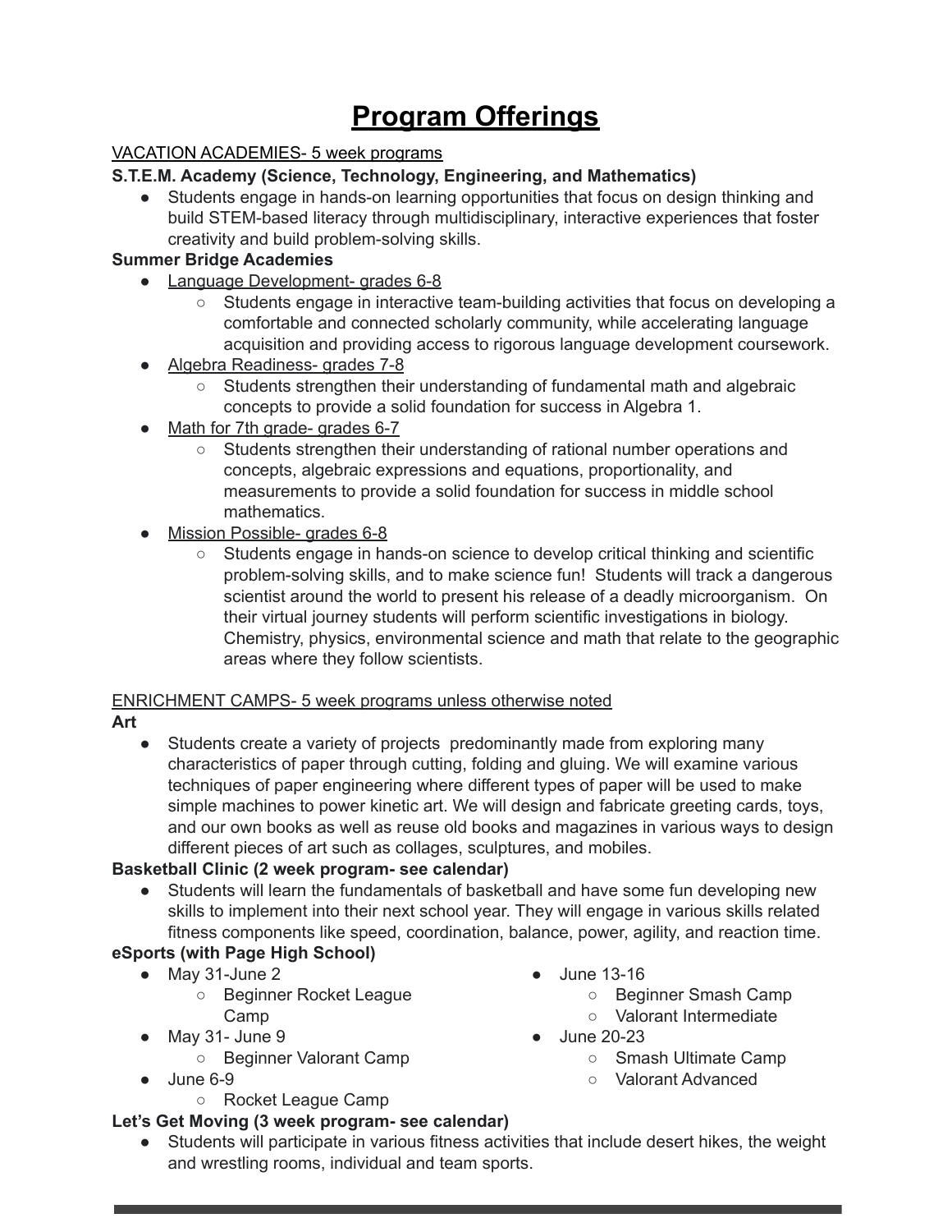# **Program Offerings**

#### VACATION ACADEMIES- 5 week programs

#### **S.T.E.M. Academy (Science, Technology, Engineering, and Mathematics)**

• Students engage in hands-on learning opportunities that focus on design thinking and build STEM-based literacy through multidisciplinary, interactive experiences that foster creativity and build problem-solving skills.

#### **Summer Bridge Academies**

- Language Development- grades 6-8
	- Students engage in interactive team-building activities that focus on developing a comfortable and connected scholarly community, while accelerating language acquisition and providing access to rigorous language development coursework.
- Algebra Readiness- grades 7-8
	- Students strengthen their understanding of fundamental math and algebraic concepts to provide a solid foundation for success in Algebra 1.
- Math for 7th grade- grades 6-7
	- Students strengthen their understanding of rational number operations and concepts, algebraic expressions and equations, proportionality, and measurements to provide a solid foundation for success in middle school mathematics.
- Mission Possible- grades 6-8
	- Students engage in hands-on science to develop critical thinking and scientific problem-solving skills, and to make science fun! Students will track a dangerous scientist around the world to present his release of a deadly microorganism. On their virtual journey students will perform scientific investigations in biology. Chemistry, physics, environmental science and math that relate to the geographic areas where they follow scientists.

#### ENRICHMENT CAMPS- 5 week programs unless otherwise noted

#### **Art**

• Students create a variety of projects predominantly made from exploring many characteristics of paper through cutting, folding and gluing. We will examine various techniques of paper engineering where different types of paper will be used to make simple machines to power kinetic art. We will design and fabricate greeting cards, toys, and our own books as well as reuse old books and magazines in various ways to design different pieces of art such as collages, sculptures, and mobiles.

#### **Basketball Clinic (2 week program- see calendar)**

● Students will learn the fundamentals of basketball and have some fun developing new skills to implement into their next school year. They will engage in various skills related fitness components like speed, coordination, balance, power, agility, and reaction time.

### **eSports (with Page High School)**

- May 31-June 2
	- Beginner Rocket League Camp
- May 31- June 9
	- Beginner Valorant Camp
- June 6-9
	- Rocket League Camp

#### **Let's Get Moving (3 week program- see calendar)**

● Students will participate in various fitness activities that include desert hikes, the weight and wrestling rooms, individual and team sports.

- June 13-16
	- Beginner Smash Camp
	- Valorant Intermediate
- June 20-23
	- Smash Ultimate Camp
	- Valorant Advanced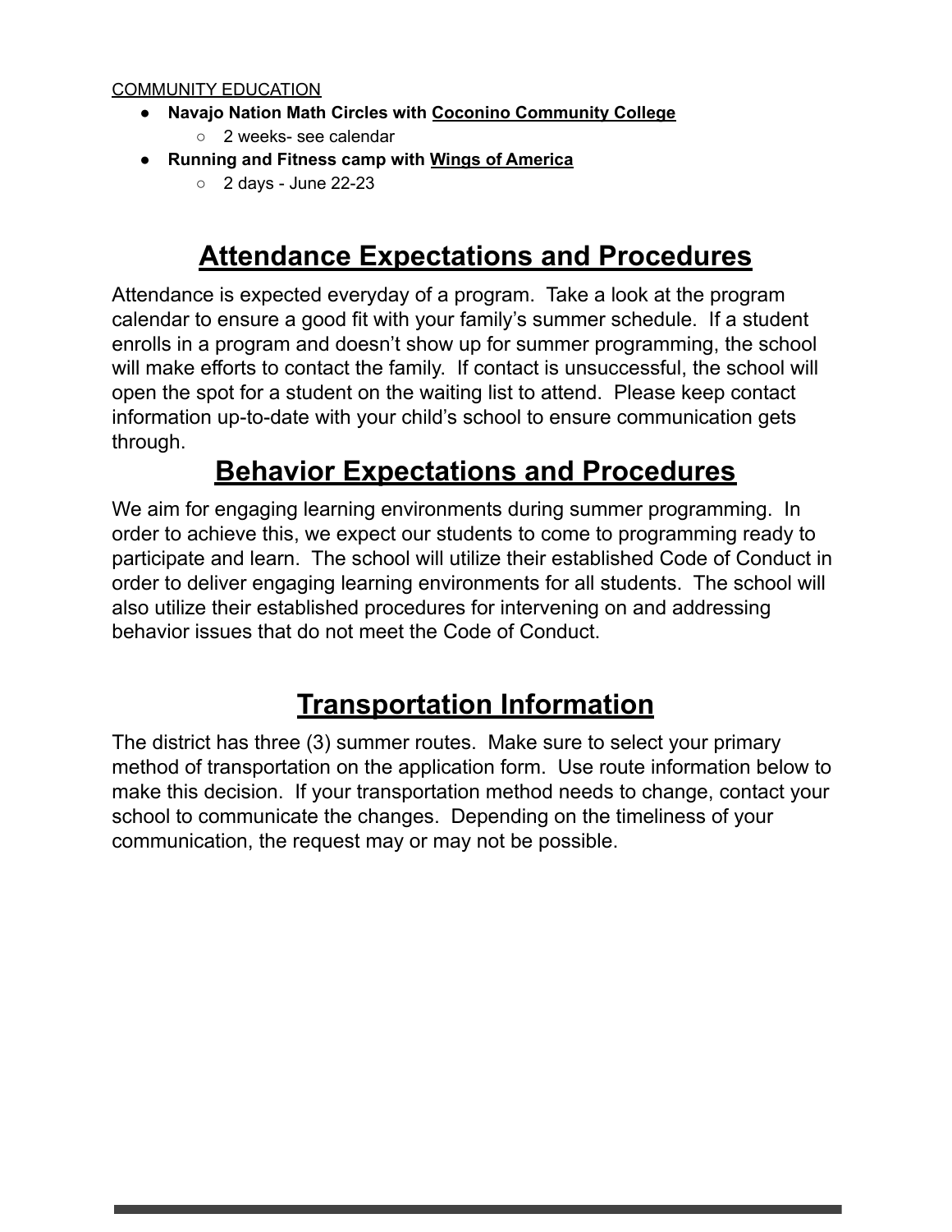#### COMMUNITY EDUCATION

- **● Navajo Nation Math Circles with Coconino Community College**
	- 2 weeks- see calendar
- **● Running and Fitness camp with Wings of America**
	- $\circ$  2 days June 22-23

# **Attendance Expectations and Procedures**

Attendance is expected everyday of a program. Take a look at the program calendar to ensure a good fit with your family's summer schedule. If a student enrolls in a program and doesn't show up for summer programming, the school will make efforts to contact the family. If contact is unsuccessful, the school will open the spot for a student on the waiting list to attend. Please keep contact information up-to-date with your child's school to ensure communication gets through.

# **Behavior Expectations and Procedures**

We aim for engaging learning environments during summer programming. In order to achieve this, we expect our students to come to programming ready to participate and learn. The school will utilize their established Code of Conduct in order to deliver engaging learning environments for all students. The school will also utilize their established procedures for intervening on and addressing behavior issues that do not meet the Code of Conduct.

# **Transportation Information**

The district has three (3) summer routes. Make sure to select your primary method of transportation on the application form. Use route information below to make this decision. If your transportation method needs to change, contact your school to communicate the changes. Depending on the timeliness of your communication, the request may or may not be possible.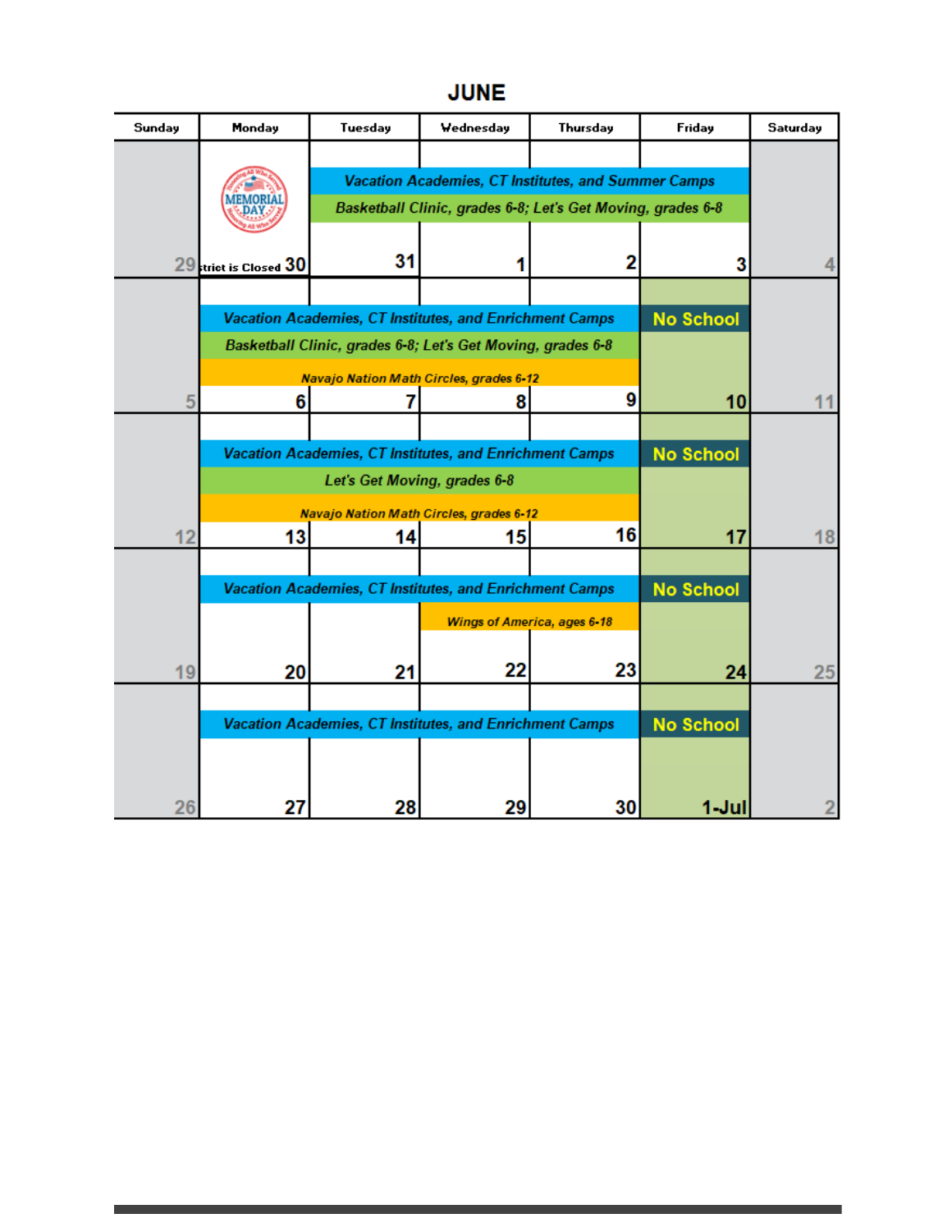# **JUNE**

| Sunday | Monday                                                                                  | Tuesday                                                     | Wednesday | Thursday | Friday           | Saturday |
|--------|-----------------------------------------------------------------------------------------|-------------------------------------------------------------|-----------|----------|------------------|----------|
|        |                                                                                         |                                                             |           |          |                  |          |
|        |                                                                                         | Vacation Academies, CT Institutes, and Summer Camps         |           |          |                  |          |
|        |                                                                                         | Basketball Clinic, grades 6-8; Let's Get Moving, grades 6-8 |           |          |                  |          |
|        |                                                                                         |                                                             |           |          |                  |          |
|        | 29 trict is Closed 30                                                                   | 31                                                          |           | 2        | 3                |          |
|        |                                                                                         |                                                             |           |          |                  |          |
|        | Vacation Academies, CT Institutes, and Enrichment Camps                                 |                                                             |           |          | <b>No School</b> |          |
|        | Basketball Clinic, grades 6-8; Let's Get Moving, grades 6-8                             |                                                             |           |          |                  |          |
|        |                                                                                         | <b>Navajo Nation Math Circles, grades 6-12</b>              |           |          |                  |          |
| 5      | 6                                                                                       |                                                             | 8         | 9        | 10               | 11       |
|        |                                                                                         |                                                             |           |          | <b>No School</b> |          |
|        | Vacation Academies, CT Institutes, and Enrichment Camps<br>Let's Get Moving, grades 6-8 |                                                             |           |          |                  |          |
|        | <b>Navajo Nation Math Circles, grades 6-12</b>                                          |                                                             |           |          |                  |          |
| 12     | 13                                                                                      | 14                                                          | 15        | 16       | 17               | 18       |
|        |                                                                                         |                                                             |           |          |                  |          |
|        | Vacation Academies, CT Institutes, and Enrichment Camps                                 |                                                             |           |          | <b>No School</b> |          |
|        | <b>Wings of America, ages 6-18</b>                                                      |                                                             |           |          |                  |          |
|        |                                                                                         |                                                             |           |          |                  |          |
| 19     | 20                                                                                      | 21                                                          | 22        | 23       | 24               | 25       |
|        |                                                                                         |                                                             |           |          |                  |          |
|        | Vacation Academies, CT Institutes, and Enrichment Camps                                 |                                                             |           |          | <b>No School</b> |          |
|        |                                                                                         |                                                             |           |          |                  |          |
|        |                                                                                         |                                                             |           |          |                  |          |
| 26     | 27                                                                                      | 28                                                          | 29        | 30       | 1-Jul            |          |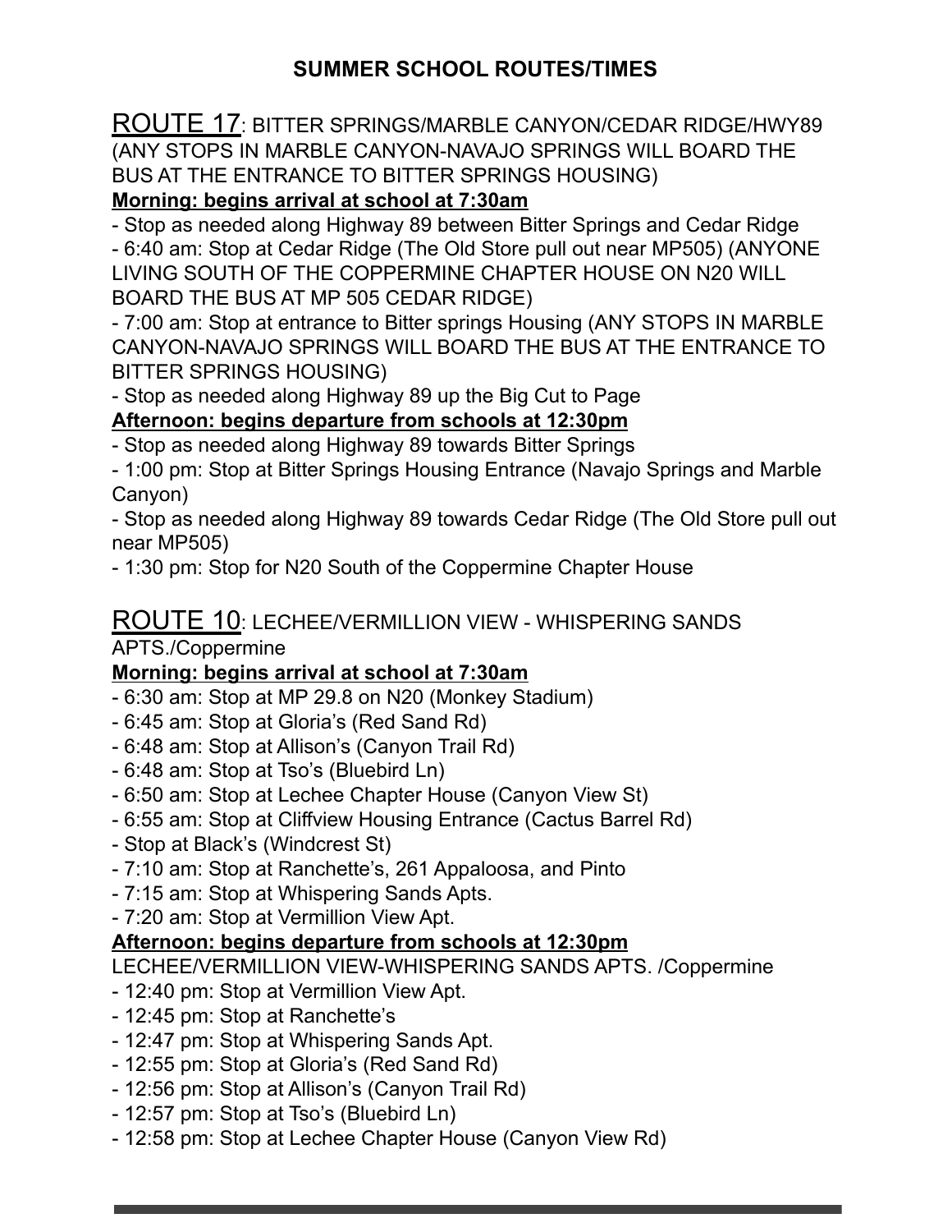ROUTE 17: BITTER SPRINGS/MARBLE CANYON/CEDAR RIDGE/HWY89 (ANY STOPS IN MARBLE CANYON-NAVAJO SPRINGS WILL BOARD THE BUS AT THE ENTRANCE TO BITTER SPRINGS HOUSING)

# **Morning: begins arrival at school at 7:30am**

- Stop as needed along Highway 89 between Bitter Springs and Cedar Ridge - 6:40 am: Stop at Cedar Ridge (The Old Store pull out near MP505) (ANYONE LIVING SOUTH OF THE COPPERMINE CHAPTER HOUSE ON N20 WILL BOARD THE BUS AT MP 505 CEDAR RIDGE)

- 7:00 am: Stop at entrance to Bitter springs Housing (ANY STOPS IN MARBLE CANYON-NAVAJO SPRINGS WILL BOARD THE BUS AT THE ENTRANCE TO BITTER SPRINGS HOUSING)

- Stop as needed along Highway 89 up the Big Cut to Page

## **Afternoon: begins departure from schools at 12:30pm**

- Stop as needed along Highway 89 towards Bitter Springs

- 1:00 pm: Stop at Bitter Springs Housing Entrance (Navajo Springs and Marble Canyon)

- Stop as needed along Highway 89 towards Cedar Ridge (The Old Store pull out near MP505)

- 1:30 pm: Stop for N20 South of the Coppermine Chapter House

# ROUTE 10: LECHEE/VERMILLION VIEW - WHISPERING SANDS

APTS./Coppermine

## **Morning: begins arrival at school at 7:30am**

- 6:30 am: Stop at MP 29.8 on N20 (Monkey Stadium)
- 6:45 am: Stop at Gloria's (Red Sand Rd)
- 6:48 am: Stop at Allison's (Canyon Trail Rd)
- 6:48 am: Stop at Tso's (Bluebird Ln)
- 6:50 am: Stop at Lechee Chapter House (Canyon View St)
- 6:55 am: Stop at Cliffview Housing Entrance (Cactus Barrel Rd)
- Stop at Black's (Windcrest St)
- 7:10 am: Stop at Ranchette's, 261 Appaloosa, and Pinto
- 7:15 am: Stop at Whispering Sands Apts.
- 7:20 am: Stop at Vermillion View Apt.

## **Afternoon: begins departure from schools at 12:30pm**

LECHEE/VERMILLION VIEW-WHISPERING SANDS APTS. /Coppermine

- 12:40 pm: Stop at Vermillion View Apt.
- 12:45 pm: Stop at Ranchette's
- 12:47 pm: Stop at Whispering Sands Apt.
- 12:55 pm: Stop at Gloria's (Red Sand Rd)
- 12:56 pm: Stop at Allison's (Canyon Trail Rd)
- 12:57 pm: Stop at Tso's (Bluebird Ln)
- 12:58 pm: Stop at Lechee Chapter House (Canyon View Rd)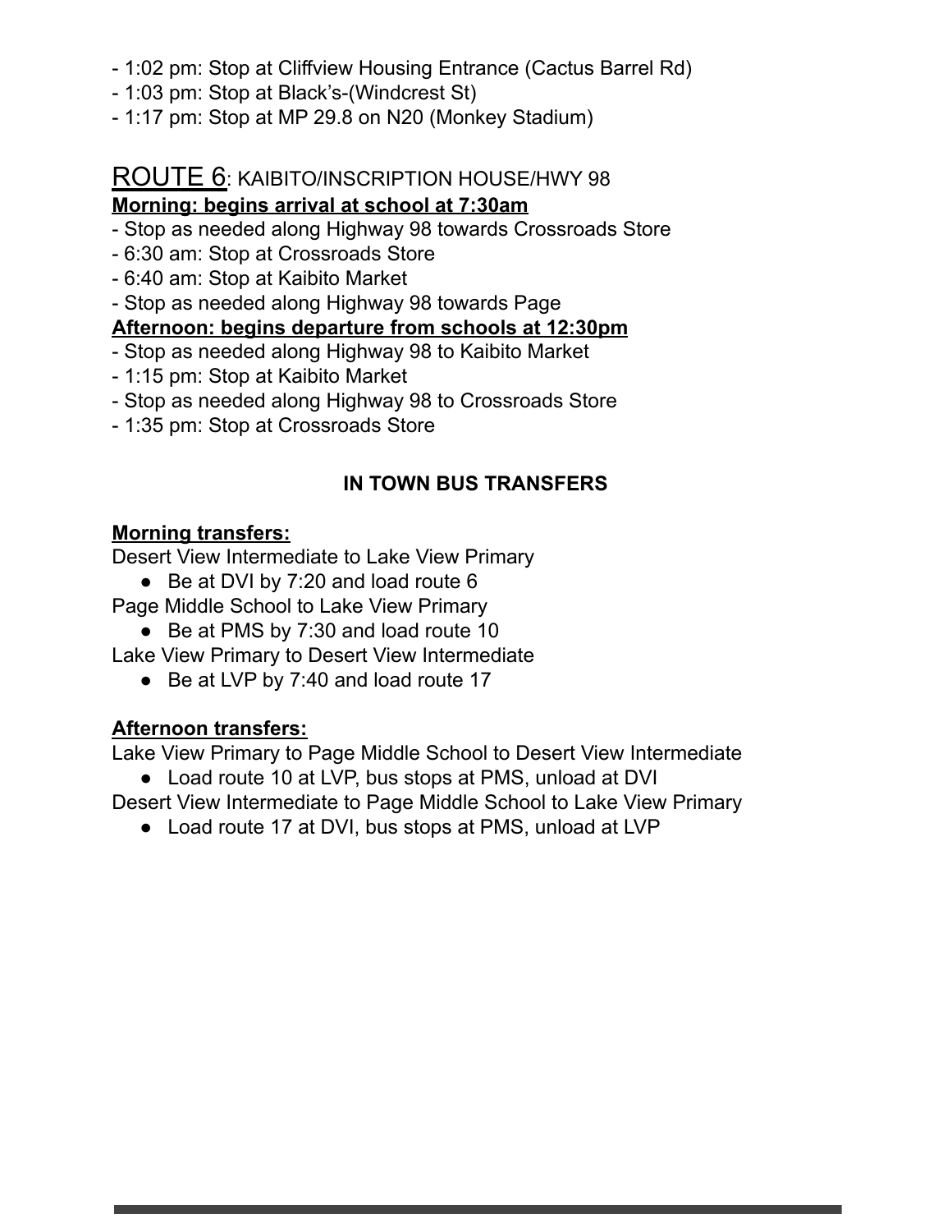- 1:02 pm: Stop at Cliffview Housing Entrance (Cactus Barrel Rd)
- 1:03 pm: Stop at Black's-(Windcrest St)
- 1:17 pm: Stop at MP 29.8 on N20 (Monkey Stadium)

# ROUTE 6: KAIBITO/INSCRIPTION HOUSE/HWY 98

# **Morning: begins arrival at school at 7:30am**

- Stop as needed along Highway 98 towards Crossroads Store
- 6:30 am: Stop at Crossroads Store
- 6:40 am: Stop at Kaibito Market

- Stop as needed along Highway 98 towards Page

## **Afternoon: begins departure from schools at 12:30pm**

- Stop as needed along Highway 98 to Kaibito Market
- 1:15 pm: Stop at Kaibito Market
- Stop as needed along Highway 98 to Crossroads Store
- 1:35 pm: Stop at Crossroads Store

# **IN TOWN BUS TRANSFERS**

# **Morning transfers:**

Desert View Intermediate to Lake View Primary

● Be at DVI by 7:20 and load route 6

Page Middle School to Lake View Primary

● Be at PMS by 7:30 and load route 10

Lake View Primary to Desert View Intermediate

● Be at LVP by 7:40 and load route 17

# **Afternoon transfers:**

Lake View Primary to Page Middle School to Desert View Intermediate

● Load route 10 at LVP, bus stops at PMS, unload at DVI

Desert View Intermediate to Page Middle School to Lake View Primary

● Load route 17 at DVI, bus stops at PMS, unload at LVP